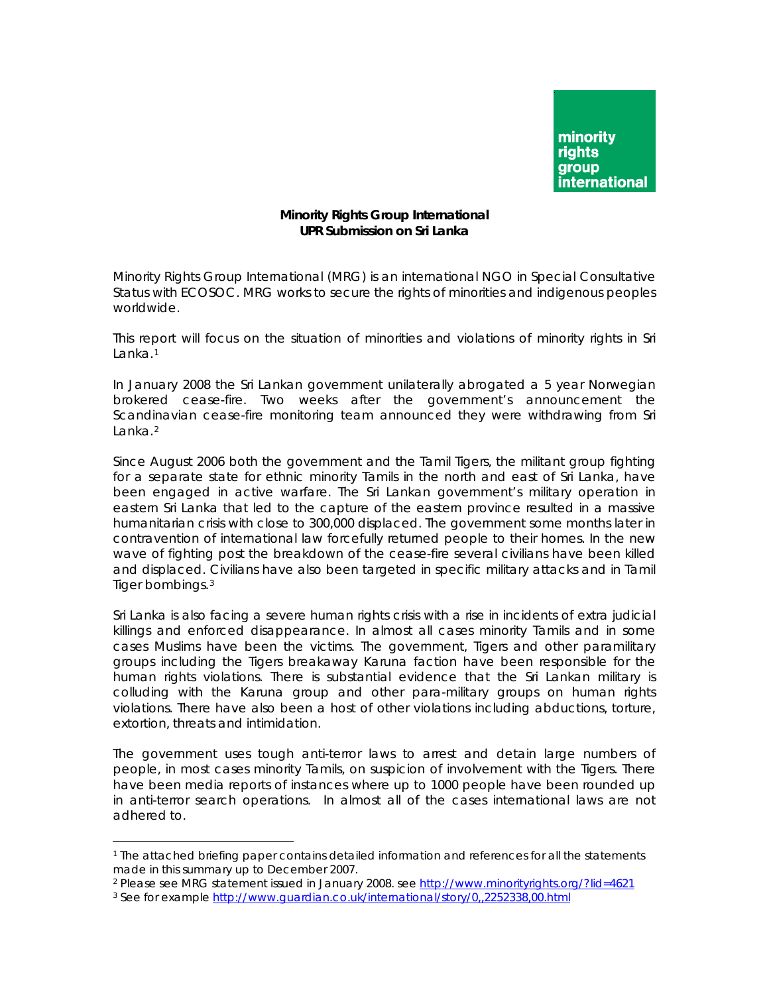

## **Minority Rights Group International UPR Submission on Sri Lanka**

Minority Rights Group International (MRG) is an international NGO in Special Consultative Status with ECOSOC. MRG works to secure the rights of minorities and indigenous peoples worldwide.

This report will focus on the situation of minorities and violations of minority rights in Sri Lanka.<sup>[1](#page-0-0)</sup>

In January 2008 the Sri Lankan government unilaterally abrogated a 5 year Norwegian brokered cease-fire. Two weeks after the government's announcement the Scandinavian cease-fire monitoring team announced they were withdrawing from Sri Lanka.<sup>[2](#page-0-1)</sup>

Since August 2006 both the government and the Tamil Tigers, the militant group fighting for a separate state for ethnic minority Tamils in the north and east of Sri Lanka, have been engaged in active warfare. The Sri Lankan government's military operation in eastern Sri Lanka that led to the capture of the eastern province resulted in a massive humanitarian crisis with close to 300,000 displaced. The government some months later in contravention of international law forcefully returned people to their homes. In the new wave of fighting post the breakdown of the cease-fire several civilians have been killed and displaced. Civilians have also been targeted in specific military attacks and in Tamil Tiger bombings.[3](#page-0-2)

Sri Lanka is also facing a severe human rights crisis with a rise in incidents of extra judicial killings and enforced disappearance. In almost all cases minority Tamils and in some cases Muslims have been the victims. The government, Tigers and other paramilitary groups including the Tigers breakaway Karuna faction have been responsible for the human rights violations. There is substantial evidence that the Sri Lankan military is colluding with the Karuna group and other para-military groups on human rights violations. There have also been a host of other violations including abductions, torture, extortion, threats and intimidation.

The government uses tough anti-terror laws to arrest and detain large numbers of people, in most cases minority Tamils, on suspicion of involvement with the Tigers. There have been media reports of instances where up to 1000 people have been rounded up in anti-terror search operations. In almost all of the cases international laws are not adhered to.

<span id="page-0-1"></span>

 $\overline{a}$ 

<span id="page-0-0"></span><sup>1</sup> The attached briefing paper contains detailed information and references for all the statements made in this summary up to December 2007.<br><sup>2</sup> Please see MRG statement issued in January 2008. see<http://www.minorityrights.org/?lid=4621>

<span id="page-0-2"></span><sup>3</sup> See for example<http://www.guardian.co.uk/international/story/0,,2252338,00.html>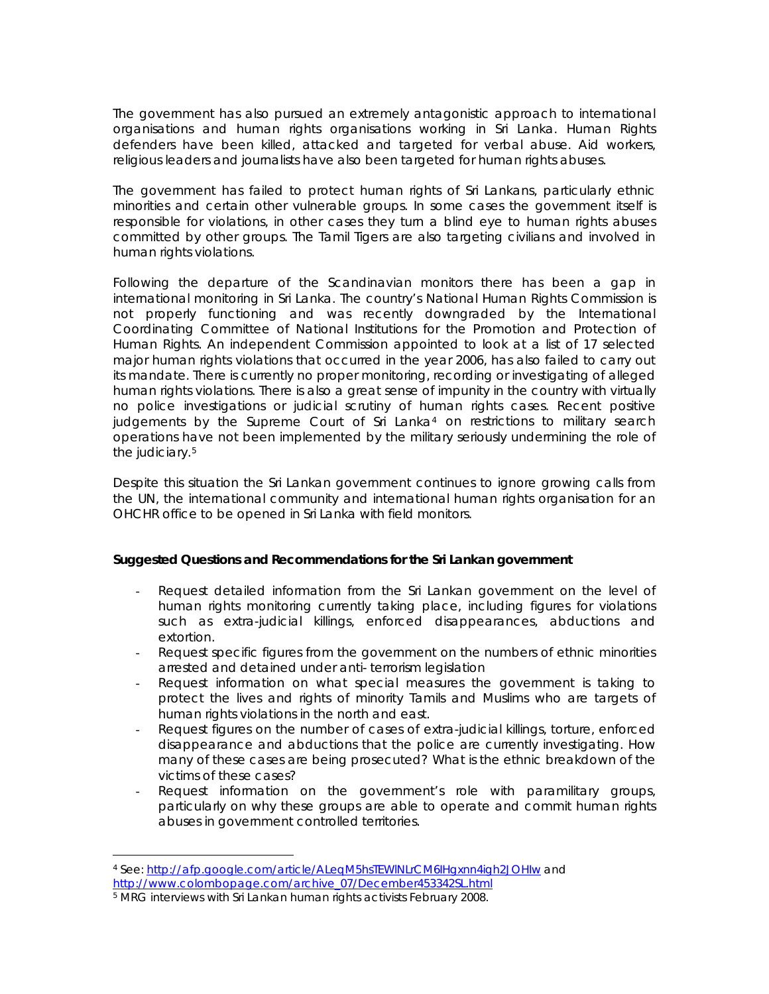The government has also pursued an extremely antagonistic approach to international organisations and human rights organisations working in Sri Lanka. Human Rights defenders have been killed, attacked and targeted for verbal abuse. Aid workers, religious leaders and journalists have also been targeted for human rights abuses.

The government has failed to protect human rights of Sri Lankans, particularly ethnic minorities and certain other vulnerable groups. In some cases the government itself is responsible for violations, in other cases they turn a blind eye to human rights abuses committed by other groups. The Tamil Tigers are also targeting civilians and involved in human rights violations.

Following the departure of the Scandinavian monitors there has been a gap in international monitoring in Sri Lanka. The country's National Human Rights Commission is not properly functioning and was recently downgraded by the International Coordinating Committee of National Institutions for the Promotion and Protection of Human Rights. An independent Commission appointed to look at a list of 17 selected major human rights violations that occurred in the year 2006, has also failed to carry out its mandate. There is currently no proper monitoring, recording or investigating of alleged human rights violations. There is also a great sense of impunity in the country with virtually no police investigations or judicial scrutiny of human rights cases. Recent positive judgements by the Supreme Court of Sri Lanka[4](#page-1-0) on restrictions to military search operations have not been implemented by the military seriously undermining the role of the judiciary.<sup>[5](#page-1-1)</sup>

Despite this situation the Sri Lankan government continues to ignore growing calls from the UN, the international community and international human rights organisation for an OHCHR office to be opened in Sri Lanka with field monitors.

## **Suggested Questions and Recommendations for the Sri Lankan government**

- Request detailed information from the Sri Lankan government on the level of human rights monitoring currently taking place, including figures for violations such as extra-judicial killings, enforced disappearances, abductions and extortion.
- Request specific figures from the government on the numbers of ethnic minorities arrested and detained under anti- terrorism legislation
- Request information on what special measures the government is taking to protect the lives and rights of minority Tamils and Muslims who are targets of human rights violations in the north and east.
- Request figures on the number of cases of extra-judicial killings, torture, enforced disappearance and abductions that the police are currently investigating. How many of these cases are being prosecuted? What is the ethnic breakdown of the victims of these cases?
- Request information on the government's role with paramilitary groups, particularly on why these groups are able to operate and commit human rights abuses in government controlled territories.

<span id="page-1-0"></span> $\overline{a}$ 4 See: <http://afp.google.com/article/ALeqM5hsTEWlNLrCM6IHgxnn4igh2JOHIw>and [http://www.colombopage.com/archive\\_07/December453342SL.html](http://www.colombopage.com/archive_07/December453342SL.html)

<span id="page-1-1"></span><sup>5</sup> MRG interviews with Sri Lankan human rights activists February 2008.